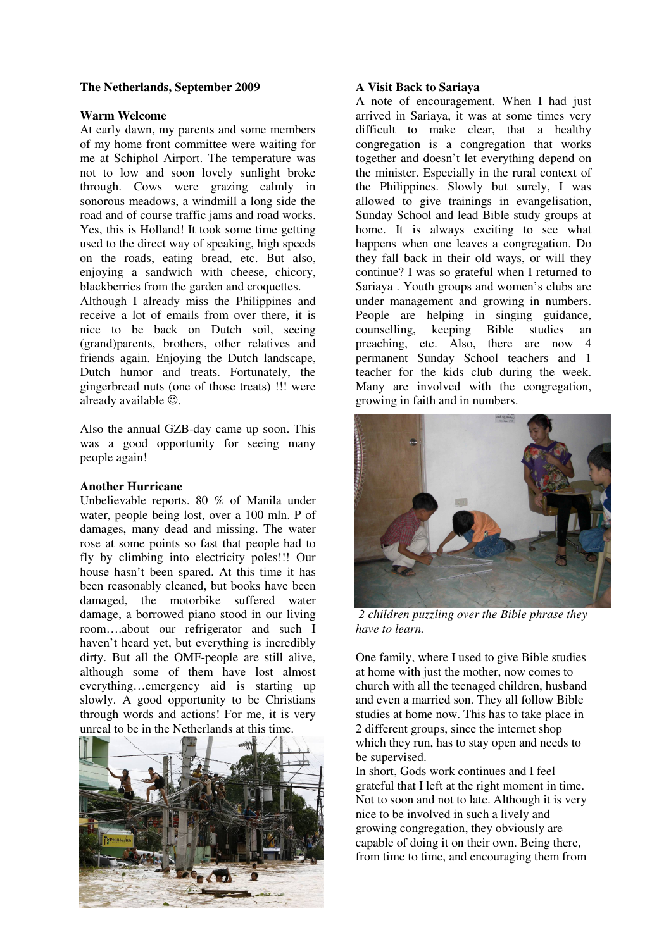### **The Netherlands, September 2009**

#### **Warm Welcome**

At early dawn, my parents and some members of my home front committee were waiting for me at Schiphol Airport. The temperature was not to low and soon lovely sunlight broke through. Cows were grazing calmly in sonorous meadows, a windmill a long side the road and of course traffic jams and road works. Yes, this is Holland! It took some time getting used to the direct way of speaking, high speeds on the roads, eating bread, etc. But also, enjoying a sandwich with cheese, chicory, blackberries from the garden and croquettes.

Although I already miss the Philippines and receive a lot of emails from over there, it is nice to be back on Dutch soil, seeing (grand)parents, brothers, other relatives and friends again. Enjoying the Dutch landscape, Dutch humor and treats. Fortunately, the gingerbread nuts (one of those treats) !!! were already available  $\odot$ .

Also the annual GZB-day came up soon. This was a good opportunity for seeing many people again!

## **Another Hurricane**

Unbelievable reports. 80 % of Manila under water, people being lost, over a 100 mln. P of damages, many dead and missing. The water rose at some points so fast that people had to fly by climbing into electricity poles!!! Our house hasn't been spared. At this time it has been reasonably cleaned, but books have been damaged, the motorbike suffered water damage, a borrowed piano stood in our living room….about our refrigerator and such I haven't heard yet, but everything is incredibly dirty. But all the OMF-people are still alive, although some of them have lost almost everything…emergency aid is starting up slowly. A good opportunity to be Christians through words and actions! For me, it is very unreal to be in the Netherlands at this time.



#### **A Visit Back to Sariaya**

A note of encouragement. When I had just arrived in Sariaya, it was at some times very difficult to make clear, that a healthy congregation is a congregation that works together and doesn't let everything depend on the minister. Especially in the rural context of the Philippines. Slowly but surely, I was allowed to give trainings in evangelisation, Sunday School and lead Bible study groups at home. It is always exciting to see what happens when one leaves a congregation. Do they fall back in their old ways, or will they continue? I was so grateful when I returned to Sariaya . Youth groups and women's clubs are under management and growing in numbers. People are helping in singing guidance, counselling, keeping Bible studies an preaching, etc. Also, there are now 4 permanent Sunday School teachers and 1 teacher for the kids club during the week. Many are involved with the congregation, growing in faith and in numbers.



*2 children puzzling over the Bible phrase they have to learn.* 

One family, where I used to give Bible studies at home with just the mother, now comes to church with all the teenaged children, husband and even a married son. They all follow Bible studies at home now. This has to take place in 2 different groups, since the internet shop which they run, has to stay open and needs to be supervised.

In short, Gods work continues and I feel grateful that I left at the right moment in time. Not to soon and not to late. Although it is very nice to be involved in such a lively and growing congregation, they obviously are capable of doing it on their own. Being there, from time to time, and encouraging them from